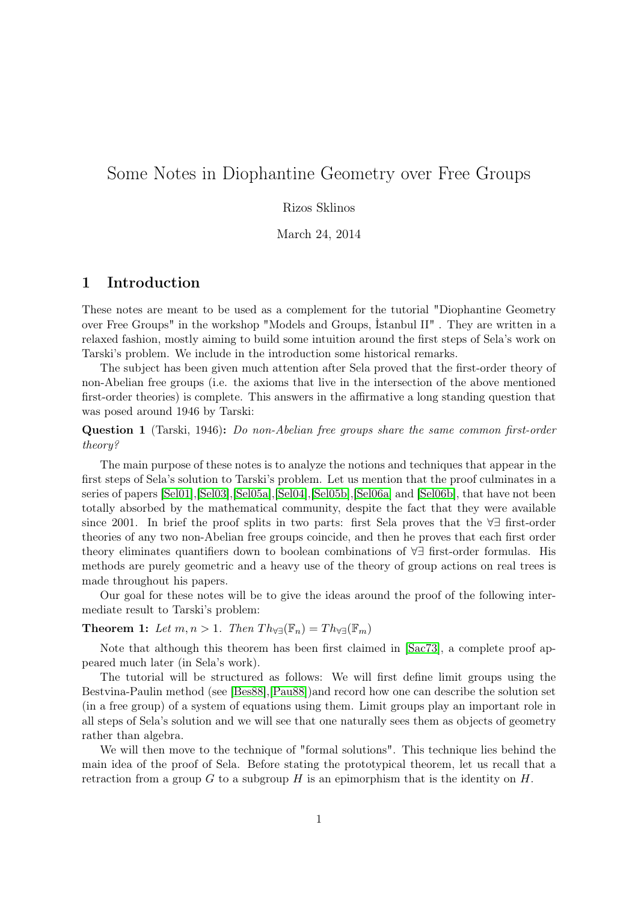# Some Notes in Diophantine Geometry over Free Groups

Rizos Sklinos

March 24, 2014

### 1 Introduction

These notes are meant to be used as a complement for the tutorial "Diophantine Geometry over Free Groups" in the workshop "Models and Groups, İstanbul II" . They are written in a relaxed fashion, mostly aiming to build some intuition around the first steps of Sela's work on Tarski's problem. We include in the introduction some historical remarks.

The subject has been given much attention after Sela proved that the first-order theory of non-Abelian free groups (i.e. the axioms that live in the intersection of the above mentioned first-order theories) is complete. This answers in the affirmative a long standing question that was posed around 1946 by Tarski:

Question 1 (Tarski, 1946): Do non-Abelian free groups share the same common first-order theory?

The main purpose of these notes is to analyze the notions and techniques that appear in the first steps of Sela's solution to Tarski's problem. Let us mention that the proof culminates in a series of papers [\[Sel01\]](#page-19-0),[\[Sel03\]](#page-19-1),[\[Sel05a\]](#page-19-2),[\[Sel04\]](#page-19-3),[\[Sel05b\]](#page-19-4),[\[Sel06a\]](#page-19-5) and [\[Sel06b\]](#page-19-6), that have not been totally absorbed by the mathematical community, despite the fact that they were available since 2001. In brief the proof splits in two parts: first Sela proves that the ∀∃ first-order theories of any two non-Abelian free groups coincide, and then he proves that each first order theory eliminates quantifiers down to boolean combinations of ∀∃ first-order formulas. His methods are purely geometric and a heavy use of the theory of group actions on real trees is made throughout his papers.

Our goal for these notes will be to give the ideas around the proof of the following intermediate result to Tarski's problem:

<span id="page-0-0"></span>**Theorem 1:** Let  $m, n > 1$ . Then  $Th_{\forall \exists}(\mathbb{F}_n) = Th_{\forall \exists}(\mathbb{F}_m)$ 

Note that although this theorem has been first claimed in [\[Sac73\]](#page-19-7), a complete proof appeared much later (in Sela's work).

The tutorial will be structured as follows: We will first define limit groups using the Bestvina-Paulin method (see [\[Bes88\]](#page-18-0),[\[Pau88\]](#page-19-8))and record how one can describe the solution set (in a free group) of a system of equations using them. Limit groups play an important role in all steps of Sela's solution and we will see that one naturally sees them as objects of geometry rather than algebra.

We will then move to the technique of "formal solutions". This technique lies behind the main idea of the proof of Sela. Before stating the prototypical theorem, let us recall that a retraction from a group G to a subgroup H is an epimorphism that is the identity on H.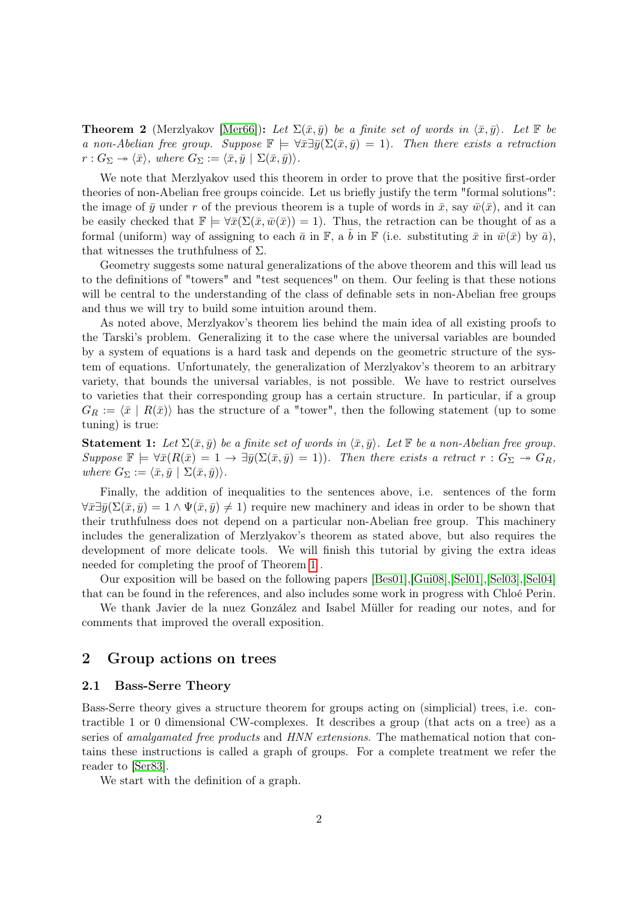**Theorem 2** (Merzlyakov [\[Mer66\]](#page-19-9)): Let  $\Sigma(\bar{x}, \bar{y})$  be a finite set of words in  $\langle \bar{x}, \bar{y} \rangle$ . Let F be a non-Abelian free group. Suppose  $\mathbb{F} \models \forall \bar{x} \exists \bar{y}(\Sigma(\bar{x}, \bar{y}) = 1)$ . Then there exists a retraction  $r: G_{\Sigma} \rightarrow \langle \bar{x} \rangle$ , where  $G_{\Sigma} := \langle \bar{x}, \bar{y} \mid \Sigma(\bar{x}, \bar{y}) \rangle$ .

We note that Merzlyakov used this theorem in order to prove that the positive first-order theories of non-Abelian free groups coincide. Let us briefly justify the term "formal solutions": the image of  $\bar{y}$  under r of the previous theorem is a tuple of words in  $\bar{x}$ , say  $\bar{w}(\bar{x})$ , and it can be easily checked that  $\mathbb{F} \models \forall \bar{x}(\Sigma(\bar{x}, \bar{w}(\bar{x})) = 1)$ . Thus, the retraction can be thought of as a formal (uniform) way of assigning to each  $\bar{a}$  in  $\mathbb{F}$ , a b in  $\mathbb{F}$  (i.e. substituting  $\bar{x}$  in  $\bar{w}(\bar{x})$  by  $\bar{a}$ ), that witnesses the truthfulness of  $\Sigma$ .

Geometry suggests some natural generalizations of the above theorem and this will lead us to the definitions of "towers" and "test sequences" on them. Our feeling is that these notions will be central to the understanding of the class of definable sets in non-Abelian free groups and thus we will try to build some intuition around them.

As noted above, Merzlyakov's theorem lies behind the main idea of all existing proofs to the Tarski's problem. Generalizing it to the case where the universal variables are bounded by a system of equations is a hard task and depends on the geometric structure of the system of equations. Unfortunately, the generalization of Merzlyakov's theorem to an arbitrary variety, that bounds the universal variables, is not possible. We have to restrict ourselves to varieties that their corresponding group has a certain structure. In particular, if a group  $G_R := \langle \bar{x} | R(\bar{x}) \rangle$  has the structure of a "tower", then the following statement (up to some tuning) is true:

**Statement 1:** Let  $\Sigma(\bar{x}, \bar{y})$  be a finite set of words in  $\langle \bar{x}, \bar{y} \rangle$ . Let F be a non-Abelian free group. Suppose  $\mathbb{F} \models \forall \bar{x}(R(\bar{x}) = 1 \rightarrow \exists \bar{y}(\Sigma(\bar{x}, \bar{y}) = 1)).$  Then there exists a retract  $r : G_{\Sigma} \rightarrow G_R$ , where  $G_{\Sigma} := \langle \bar{x}, \bar{y} \mid \Sigma(\bar{x}, \bar{y}) \rangle.$ 

Finally, the addition of inequalities to the sentences above, i.e. sentences of the form  $\forall \bar{x} \exists \bar{y}(\Sigma(\bar{x}, \bar{y}) = 1 \land \Psi(\bar{x}, \bar{y}) \neq 1)$  require new machinery and ideas in order to be shown that their truthfulness does not depend on a particular non-Abelian free group. This machinery includes the generalization of Merzlyakov's theorem as stated above, but also requires the development of more delicate tools. We will finish this tutorial by giving the extra ideas needed for completing the proof of Theorem [1](#page-0-0) .

Our exposition will be based on the following papers [\[Bes01\]](#page-18-1),[\[Gui08\]](#page-18-2),[\[Sel01\]](#page-19-0),[\[Sel03\]](#page-19-1),[\[Sel04\]](#page-19-3) that can be found in the references, and also includes some work in progress with Chloé Perin.

We thank Javier de la nuez González and Isabel Müller for reading our notes, and for comments that improved the overall exposition.

# 2 Group actions on trees

#### 2.1 Bass-Serre Theory

Bass-Serre theory gives a structure theorem for groups acting on (simplicial) trees, i.e. contractible 1 or 0 dimensional CW-complexes. It describes a group (that acts on a tree) as a series of *amalgamated free products* and *HNN extensions*. The mathematical notion that contains these instructions is called a graph of groups. For a complete treatment we refer the reader to [\[Ser83\]](#page-19-10).

We start with the definition of a graph.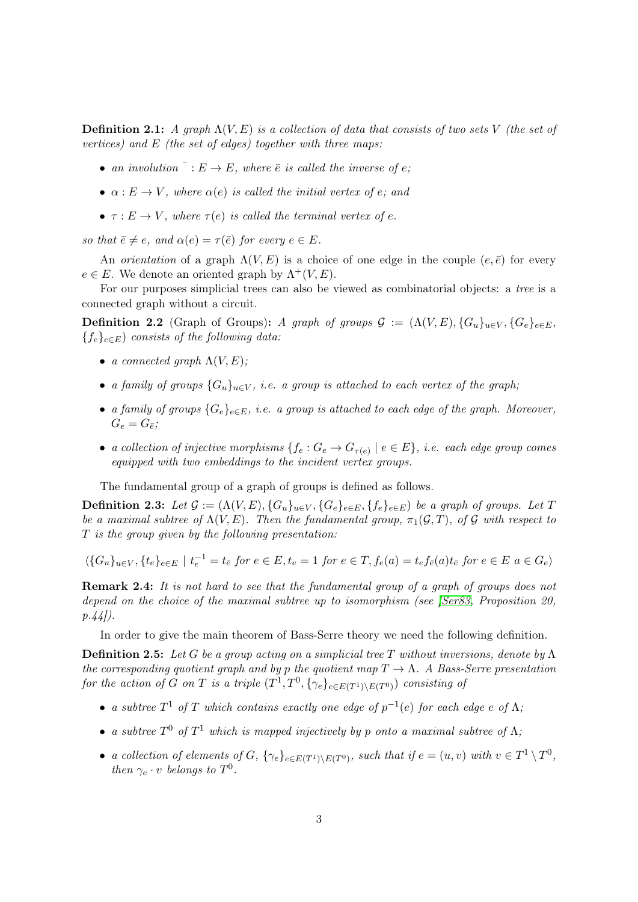**Definition 2.1:** A graph  $\Lambda(V, E)$  is a collection of data that consists of two sets V (the set of vertices) and  $E$  (the set of edges) together with three maps:

- an involution  $\overline{\phantom{a}}: E \to E$ , where  $\overline{e}$  is called the inverse of e;
- $\alpha : E \to V$ , where  $\alpha(e)$  is called the initial vertex of e; and
- $\tau : E \to V$ , where  $\tau(e)$  is called the terminal vertex of e.

so that  $\overline{e} \neq e$ , and  $\alpha(e) = \tau(\overline{e})$  for every  $e \in E$ .

An orientation of a graph  $\Lambda(V, E)$  is a choice of one edge in the couple  $(e, \bar{e})$  for every  $e \in E$ . We denote an oriented graph by  $\Lambda^+(V, E)$ .

For our purposes simplicial trees can also be viewed as combinatorial objects: a tree is a connected graph without a circuit.

**Definition 2.2** (Graph of Groups): A graph of groups  $\mathcal{G} := (\Lambda(V, E), \{G_u\}_{u \in V}, \{G_e\}_{e \in E},$  ${f_e}_{e\in E}$ ) consists of the following data:

- a connected graph  $\Lambda(V, E)$ ;
- a family of groups  ${G_u}_{u\in V}$ , i.e. a group is attached to each vertex of the graph;
- a family of groups  ${G_e}_{e \in E}$ , i.e. a group is attached to each edge of the graph. Moreover,  $G_e = G_{\bar{e}}$ ;
- a collection of injective morphisms  $\{f_e: G_e \to G_{\tau(e)} \mid e \in E\}$ , i.e. each edge group comes equipped with two embeddings to the incident vertex groups.

The fundamental group of a graph of groups is defined as follows.

**Definition 2.3:** Let  $\mathcal{G} := (\Lambda(V, E), \{G_u\}_{u \in V}, \{G_e\}_{e \in E}, \{f_e\}_{e \in E})$  be a graph of groups. Let T be a maximal subtree of  $\Lambda(V, E)$ . Then the fundamental group,  $\pi_1(\mathcal{G}, T)$ , of G with respect to T is the group given by the following presentation:

$$
\langle \{G_u\}_{u\in V}, \{t_e\}_{e\in E}\mid t_e^{-1}=t_{\bar{e}}\text{ for }e\in E, t_e=1\text{ for }e\in T, f_e(a)=t_e f_{\bar{e}}(a) t_{\bar{e}}\text{ for }e\in E\text{ a }\in G_e\rangle
$$

Remark 2.4: It is not hard to see that the fundamental group of a graph of groups does not depend on the choice of the maximal subtree up to isomorphism (see [\[Ser83,](#page-19-10) Proposition 20,  $p.44$ .

In order to give the main theorem of Bass-Serre theory we need the following definition.

**Definition 2.5:** Let G be a group acting on a simplicial tree T without inversions, denote by  $\Lambda$ the corresponding quotient graph and by p the quotient map  $T \to \Lambda$ . A Bass-Serre presentation for the action of G on T is a triple  $(T^1,T^0,\{\gamma_e\}_{e\in E(T^1)\setminus E(T^0)})$  consisting of

- a subtree  $T^1$  of T which contains exactly one edge of  $p^{-1}(e)$  for each edge e of  $\Lambda$ ;
- a subtree  $T^0$  of  $T^1$  which is mapped injectively by p onto a maximal subtree of  $\Lambda$ ;
- a collection of elements of G,  $\{\gamma_e\}_{e \in E(T^1) \setminus E(T^0)}$ , such that if  $e = (u, v)$  with  $v \in T^1 \setminus T^0$ , then  $\gamma_e \cdot v$  belongs to  $T^0$ .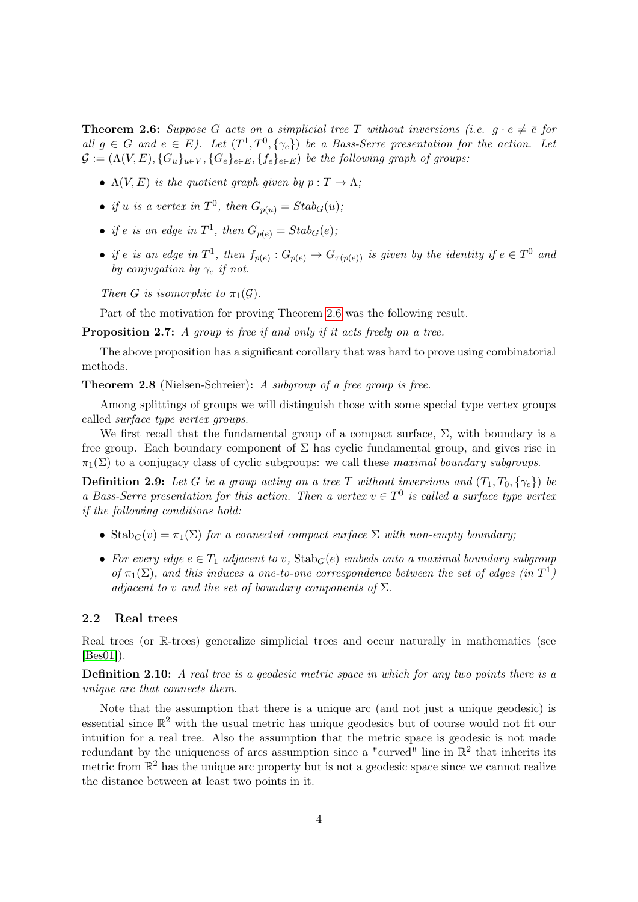<span id="page-3-0"></span>**Theorem 2.6:** Suppose G acts on a simplicial tree T without inversions (i.e.  $g \cdot e \neq \overline{e}$  for all  $g \in G$  and  $e \in E$ ). Let  $(T^1, T^0, {\{\gamma_e\}})$  be a Bass-Serre presentation for the action. Let  $\mathcal{G} := (\Lambda(V, E), \{G_u\}_{u \in V}, \{G_e\}_{e \in E}, \{f_e\}_{e \in E})$  be the following graph of groups:

- $\Lambda(V, E)$  is the quotient graph given by  $p: T \to \Lambda$ ;
- if u is a vertex in  $T^0$ , then  $G_{p(u)} = Stab_G(u)$ ;
- if e is an edge in  $T^1$ , then  $G_{p(e)} = Stab_G(e)$ ;
- if e is an edge in  $T^1$ , then  $f_{p(e)}$ :  $G_{p(e)} \to G_{\tau(p(e))}$  is given by the identity if  $e \in T^0$  and by conjugation by  $\gamma_e$  if not.

Then G is isomorphic to  $\pi_1(\mathcal{G})$ .

Part of the motivation for proving Theorem [2.6](#page-3-0) was the following result.

Proposition 2.7: A group is free if and only if it acts freely on a tree.

The above proposition has a significant corollary that was hard to prove using combinatorial methods.

Theorem 2.8 (Nielsen-Schreier): A subgroup of a free group is free.

Among splittings of groups we will distinguish those with some special type vertex groups called surface type vertex groups.

We first recall that the fundamental group of a compact surface,  $\Sigma$ , with boundary is a free group. Each boundary component of  $\Sigma$  has cyclic fundamental group, and gives rise in  $\pi_1(\Sigma)$  to a conjugacy class of cyclic subgroups: we call these maximal boundary subgroups.

**Definition 2.9:** Let G be a group acting on a tree T without inversions and  $(T_1, T_0, \{y_e\})$  be a Bass-Serre presentation for this action. Then a vertex  $v \in T^0$  is called a surface type vertex if the following conditions hold:

- Stab<sub>G</sub>(v) =  $\pi_1(\Sigma)$  for a connected compact surface  $\Sigma$  with non-empty boundary;
- For every edge  $e \in T_1$  adjacent to v,  $\text{Stab}_G(e)$  embeds onto a maximal boundary subgroup of  $\pi_1(\Sigma)$ , and this induces a one-to-one correspondence between the set of edges (in  $T<sup>1</sup>$ ) adjacent to v and the set of boundary components of  $\Sigma$ .

#### 2.2 Real trees

Real trees (or R-trees) generalize simplicial trees and occur naturally in mathematics (see  $|Bes01|$ .

**Definition 2.10:** A real tree is a geodesic metric space in which for any two points there is a unique arc that connects them.

Note that the assumption that there is a unique arc (and not just a unique geodesic) is essential since  $\mathbb{R}^2$  with the usual metric has unique geodesics but of course would not fit our intuition for a real tree. Also the assumption that the metric space is geodesic is not made redundant by the uniqueness of arcs assumption since a "curved" line in  $\mathbb{R}^2$  that inherits its metric from  $\mathbb{R}^2$  has the unique arc property but is not a geodesic space since we cannot realize the distance between at least two points in it.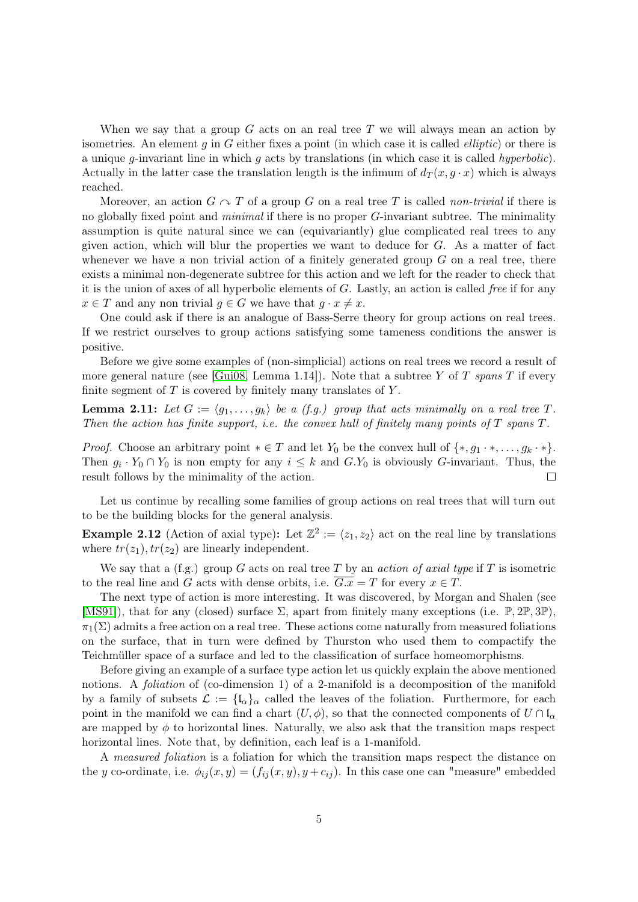When we say that a group  $G$  acts on an real tree  $T$  we will always mean an action by isometries. An element g in G either fixes a point (in which case it is called *elliptic*) or there is a unique g-invariant line in which g acts by translations (in which case it is called hyperbolic). Actually in the latter case the translation length is the infimum of  $d_T(x, g \cdot x)$  which is always reached.

Moreover, an action  $G \cap T$  of a group G on a real tree T is called non-trivial if there is no globally fixed point and *minimal* if there is no proper G-invariant subtree. The minimality assumption is quite natural since we can (equivariantly) glue complicated real trees to any given action, which will blur the properties we want to deduce for  $G$ . As a matter of fact whenever we have a non trivial action of a finitely generated group  $G$  on a real tree, there exists a minimal non-degenerate subtree for this action and we left for the reader to check that it is the union of axes of all hyperbolic elements of G. Lastly, an action is called free if for any  $x \in T$  and any non trivial  $g \in G$  we have that  $g \cdot x \neq x$ .

One could ask if there is an analogue of Bass-Serre theory for group actions on real trees. If we restrict ourselves to group actions satisfying some tameness conditions the answer is positive.

Before we give some examples of (non-simplicial) actions on real trees we record a result of more general nature (see [\[Gui08,](#page-18-2) Lemma 1.14]). Note that a subtree Y of T spans T if every finite segment of  $T$  is covered by finitely many translates of  $Y$ .

**Lemma 2.11:** Let  $G := \langle g_1, \ldots, g_k \rangle$  be a (f.g.) group that acts minimally on a real tree T. Then the action has finite support, i.e. the convex hull of finitely many points of  $T$  spans  $T$ .

*Proof.* Choose an arbitrary point  $* \in T$  and let  $Y_0$  be the convex hull of  $\{*, g_1 \cdot *, \ldots, g_k \cdot *\}.$ Then  $g_i \cdot Y_0 \cap Y_0$  is non empty for any  $i \leq k$  and  $G.Y_0$  is obviously G-invariant. Thus, the result follows by the minimality of the action.  $\Box$ 

Let us continue by recalling some families of group actions on real trees that will turn out to be the building blocks for the general analysis.

**Example 2.12** (Action of axial type): Let  $\mathbb{Z}^2 := \langle z_1, z_2 \rangle$  act on the real line by translations where  $tr(z_1)$ ,  $tr(z_2)$  are linearly independent.

We say that a (f.g.) group G acts on real tree T by an *action of axial type* if T is isometric to the real line and G acts with dense orbits, i.e.  $\overline{G.x} = T$  for every  $x \in T$ .

The next type of action is more interesting. It was discovered, by Morgan and Shalen (see [\[MS91\]](#page-19-11)), that for any (closed) surface  $\Sigma$ , apart from finitely many exceptions (i.e.  $\mathbb{P}, 2\mathbb{P}, 3\mathbb{P}$ ),  $\pi_1(\Sigma)$  admits a free action on a real tree. These actions come naturally from measured foliations on the surface, that in turn were defined by Thurston who used them to compactify the Teichmüller space of a surface and led to the classification of surface homeomorphisms.

Before giving an example of a surface type action let us quickly explain the above mentioned notions. A *foliation* of (co-dimension 1) of a 2-manifold is a decomposition of the manifold by a family of subsets  $\mathcal{L} := \{I_{\alpha}\}_\alpha$  called the leaves of the foliation. Furthermore, for each point in the manifold we can find a chart  $(U, \phi)$ , so that the connected components of  $U \cap I_{\alpha}$ are mapped by  $\phi$  to horizontal lines. Naturally, we also ask that the transition maps respect horizontal lines. Note that, by definition, each leaf is a 1-manifold.

A measured foliation is a foliation for which the transition maps respect the distance on the y co-ordinate, i.e.  $\phi_{ij}(x, y) = (f_{ij}(x, y), y + c_{ij})$ . In this case one can "measure" embedded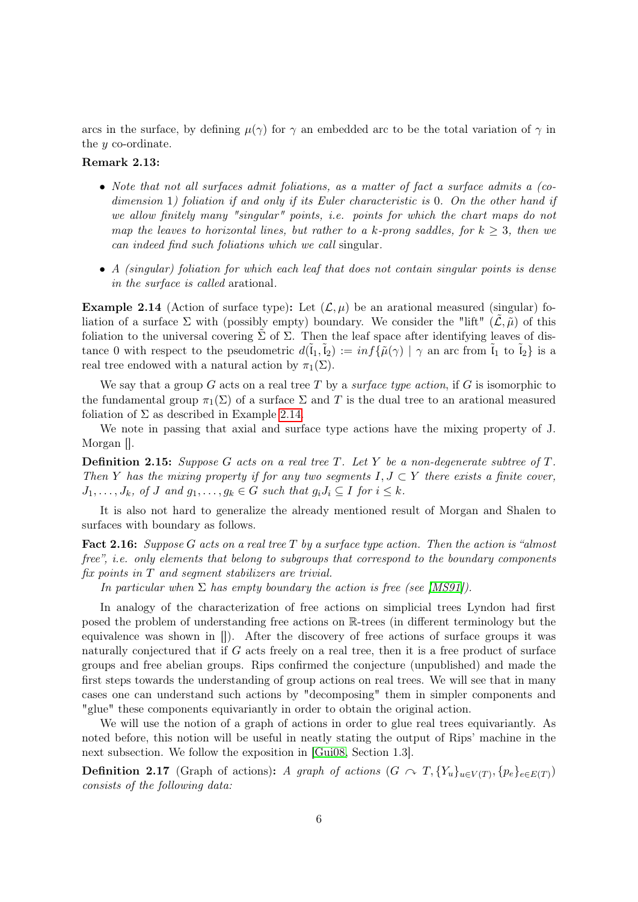arcs in the surface, by defining  $\mu(\gamma)$  for  $\gamma$  an embedded arc to be the total variation of  $\gamma$  in the y co-ordinate.

#### Remark 2.13:

- Note that not all surfaces admit foliations, as a matter of fact a surface admits a (codimension 1) foliation if and only if its Euler characteristic is 0. On the other hand if we allow finitely many "singular" points, i.e. points for which the chart maps do not map the leaves to horizontal lines, but rather to a k-prong saddles, for  $k \geq 3$ , then we can indeed find such foliations which we call singular.
- A (singular) foliation for which each leaf that does not contain singular points is dense in the surface is called arational.

<span id="page-5-0"></span>**Example 2.14** (Action of surface type): Let  $(L, \mu)$  be an arational measured (singular) foliation of a surface  $\Sigma$  with (possibly empty) boundary. We consider the "lift"  $(\mathcal{L}, \tilde{\mu})$  of this foliation to the universal covering  $\Sigma$  of  $\Sigma$ . Then the leaf space after identifying leaves of distance 0 with respect to the pseudometric  $d(\tilde{I}_1, \tilde{I}_2) := inf\{\tilde{\mu}(\gamma) \mid \gamma \text{ an arc from } \tilde{I}_1 \text{ to } \tilde{I}_2\}$  is a real tree endowed with a natural action by  $\pi_1(\Sigma)$ .

We say that a group  $G$  acts on a real tree  $T$  by a *surface type action*, if  $G$  is isomorphic to the fundamental group  $\pi_1(\Sigma)$  of a surface  $\Sigma$  and T is the dual tree to an arational measured foliation of  $\Sigma$  as described in Example [2.14.](#page-5-0)

We note in passing that axial and surface type actions have the mixing property of J. Morgan [].

**Definition 2.15:** Suppose G acts on a real tree T. Let Y be a non-degenerate subtree of T. Then Y has the mixing property if for any two segments  $I, J \subset Y$  there exists a finite cover,  $J_1, \ldots, J_k$ , of J and  $g_1, \ldots, g_k \in G$  such that  $g_i J_i \subseteq I$  for  $i \leq k$ .

It is also not hard to generalize the already mentioned result of Morgan and Shalen to surfaces with boundary as follows.

**Fact 2.16:** Suppose G acts on a real tree T by a surface type action. Then the action is "almost" free", i.e. only elements that belong to subgroups that correspond to the boundary components fix points in T and segment stabilizers are trivial.

In particular when  $\Sigma$  has empty boundary the action is free (see [\[MS91\]](#page-19-11)).

In analogy of the characterization of free actions on simplicial trees Lyndon had first posed the problem of understanding free actions on R-trees (in different terminology but the equivalence was shown in []). After the discovery of free actions of surface groups it was naturally conjectured that if G acts freely on a real tree, then it is a free product of surface groups and free abelian groups. Rips confirmed the conjecture (unpublished) and made the first steps towards the understanding of group actions on real trees. We will see that in many cases one can understand such actions by "decomposing" them in simpler components and "glue" these components equivariantly in order to obtain the original action.

We will use the notion of a graph of actions in order to glue real trees equivariantly. As noted before, this notion will be useful in neatly stating the output of Rips' machine in the next subsection. We follow the exposition in [\[Gui08,](#page-18-2) Section 1.3].

**Definition 2.17** (Graph of actions): A graph of actions  $(G \cap T, \{Y_u\}_{u \in V(T)}, \{p_e\}_{e \in E(T)})$ consists of the following data: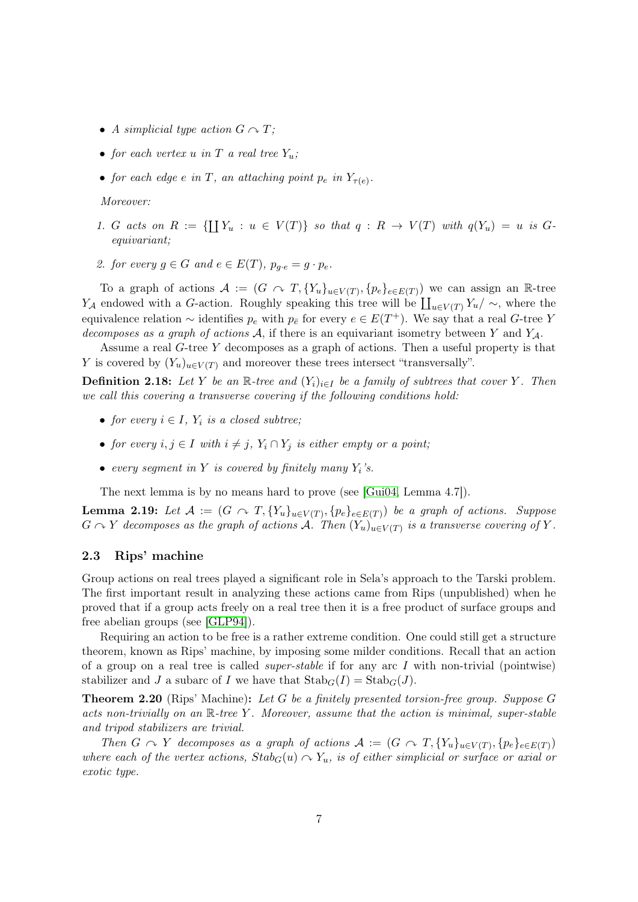- A simplicial type action  $G \cap T$ ;
- for each vertex u in T a real tree  $Y_u$ ;
- for each edge e in T, an attaching point  $p_e$  in  $Y_{\tau(e)}$ .

Moreover:

- 1. G acts on  $R := \{\coprod Y_u : u \in V(T)\}\$  so that  $q : R \to V(T)$  with  $q(Y_u) = u$  is Gequivariant;
- 2. for every  $g \in G$  and  $e \in E(T)$ ,  $p_{q \cdot e} = g \cdot p_e$ .

To a graph of actions  $\mathcal{A} := (G \cap T, \{Y_u\}_{u \in V(T)}, \{p_e\}_{e \in E(T)})$  we can assign an R-tree Y<sub>A</sub> endowed with a G-action. Roughly speaking this tree will be  $\prod_{u\in V(T)} Y_u/\sim$ , where the equivalence relation  $\sim$  identifies  $p_e$  with  $p_{\bar{e}}$  for every  $e \in E(T^+)$ . We say that a real G-tree Y decomposes as a graph of actions  $A$ , if there is an equivariant isometry between Y and  $Y_A$ .

Assume a real G-tree Y decomposes as a graph of actions. Then a useful property is that Y is covered by  $(Y_u)_{u\in V(T)}$  and moreover these trees intersect "transversally".

**Definition 2.18:** Let Y be an R-tree and  $(Y_i)_{i\in I}$  be a family of subtrees that cover Y. Then we call this covering a transverse covering if the following conditions hold:

- for every  $i \in I$ ,  $Y_i$  is a closed subtree;
- for every  $i, j \in I$  with  $i \neq j$ ,  $Y_i \cap Y_j$  is either empty or a point;
- every segment in Y is covered by finitely many  $Y_i$ 's.

The next lemma is by no means hard to prove (see [\[Gui04,](#page-18-3) Lemma 4.7]).

**Lemma 2.19:** Let  $\mathcal{A} := (G \cap T, \{Y_u\}_{u \in V(T)}, \{p_e\}_{e \in E(T)})$  be a graph of actions. Suppose  $G \curvearrowright Y$  decomposes as the graph of actions  $\mathcal{A}$ . Then  $(Y_u)_{u \in V(T)}$  is a transverse covering of Y.

#### 2.3 Rips' machine

Group actions on real trees played a significant role in Sela's approach to the Tarski problem. The first important result in analyzing these actions came from Rips (unpublished) when he proved that if a group acts freely on a real tree then it is a free product of surface groups and free abelian groups (see [\[GLP94\]](#page-18-4)).

Requiring an action to be free is a rather extreme condition. One could still get a structure theorem, known as Rips' machine, by imposing some milder conditions. Recall that an action of a group on a real tree is called *super-stable* if for any arc I with non-trivial (pointwise) stabilizer and J a subarc of I we have that  $\text{Stab}_G(I) = \text{Stab}_G(J)$ .

**Theorem 2.20** (Rips' Machine): Let G be a finitely presented torsion-free group. Suppose G acts non-trivially on an  $\mathbb{R}$ -tree Y. Moreover, assume that the action is minimal, super-stable and tripod stabilizers are trivial.

Then  $G \cap Y$  decomposes as a graph of actions  $\mathcal{A} := (G \cap T, \{Y_u\}_{u \in V(T)}, \{p_e\}_{e \in E(T)})$ where each of the vertex actions,  $Stab_G(u) \sim Y_u$ , is of either simplicial or surface or axial or exotic type.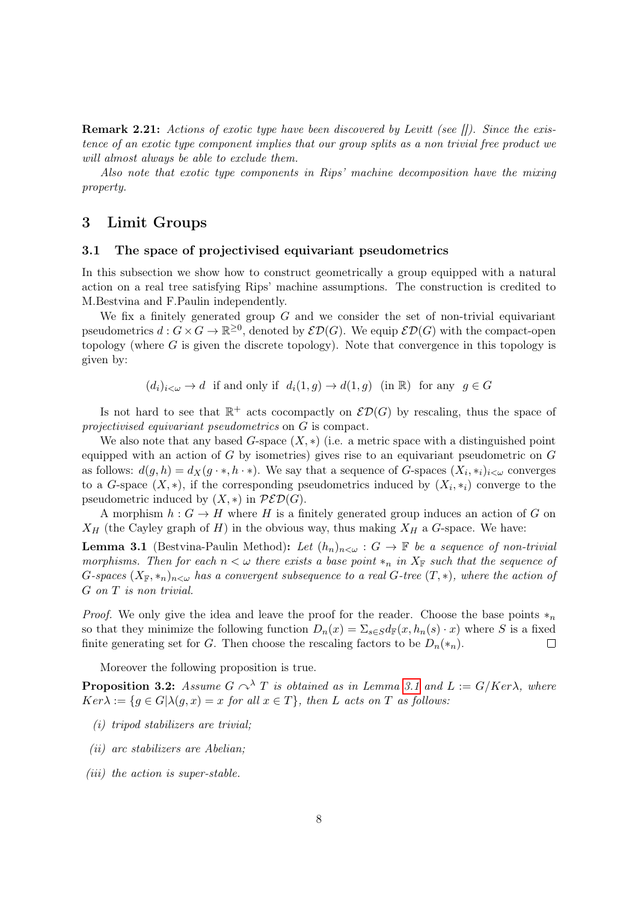**Remark 2.21:** Actions of exotic type have been discovered by Levitt (see  $\parallel$ ). Since the existence of an exotic type component implies that our group splits as a non trivial free product we will almost always be able to exclude them.

Also note that exotic type components in Rips' machine decomposition have the mixing property.

# 3 Limit Groups

#### 3.1 The space of projectivised equivariant pseudometrics

In this subsection we show how to construct geometrically a group equipped with a natural action on a real tree satisfying Rips' machine assumptions. The construction is credited to M.Bestvina and F.Paulin independently.

We fix a finitely generated group  $G$  and we consider the set of non-trivial equivariant pseudometrics  $d: G \times G \to \mathbb{R}^{\geq 0}$ , denoted by  $\mathcal{ED}(G)$ . We equip  $\mathcal{ED}(G)$  with the compact-open topology (where  $G$  is given the discrete topology). Note that convergence in this topology is given by:

$$
(d_i)_{i < \omega} \to d
$$
 if and only if  $d_i(1, g) \to d(1, g)$  (in R) for any  $g \in G$ 

Is not hard to see that  $\mathbb{R}^+$  acts cocompactly on  $\mathcal{ED}(G)$  by rescaling, thus the space of projectivised equivariant pseudometrics on G is compact.

We also note that any based G-space  $(X, *)$  (i.e. a metric space with a distinguished point equipped with an action of  $G$  by isometries) gives rise to an equivariant pseudometric on  $G$ as follows:  $d(g, h) = d_X(g \cdot *, h \cdot *)$ . We say that a sequence of G-spaces  $(X_i, *_i)_{i < \omega}$  converges to a G-space  $(X, *)$ , if the corresponding pseudometrics induced by  $(X_i, *_i)$  converge to the pseudometric induced by  $(X, *)$  in  $\mathcal{PED}(G)$ .

A morphism  $h: G \to H$  where H is a finitely generated group induces an action of G on  $X_H$  (the Cayley graph of H) in the obvious way, thus making  $X_H$  a G-space. We have:

<span id="page-7-0"></span>**Lemma 3.1** (Bestvina-Paulin Method): Let  $(h_n)_{n<\omega}$  :  $G \to \mathbb{F}$  be a sequence of non-trivial morphisms. Then for each  $n < \omega$  there exists a base point  $*_n$  in  $X_{\mathbb{F}}$  such that the sequence of G-spaces  $(X_{\mathbb{F}}, *_{n})_{n<\omega}$  has a convergent subsequence to a real G-tree  $(T, *)$ , where the action of G on T is non trivial.

*Proof.* We only give the idea and leave the proof for the reader. Choose the base points  $*_n$ so that they minimize the following function  $D_n(x) = \sum_{s \in S} d_{\mathbb{F}}(x, h_n(s) \cdot x)$  where S is a fixed finite generating set for G. Then choose the rescaling factors to be  $D_n(*_n)$ .  $\Box$ 

Moreover the following proposition is true.

**Proposition 3.2:** Assume  $G \curvearrowright^{\lambda} T$  is obtained as in Lemma [3.1](#page-7-0) and  $L := G/Ker\lambda$ , where  $Ker\lambda := \{g \in G | \lambda(g, x) = x \text{ for all } x \in T\}, \text{ then } L \text{ acts on } T \text{ as follows:}$ 

- (i) tripod stabilizers are trivial;
- (ii) arc stabilizers are Abelian;
- (iii) the action is super-stable.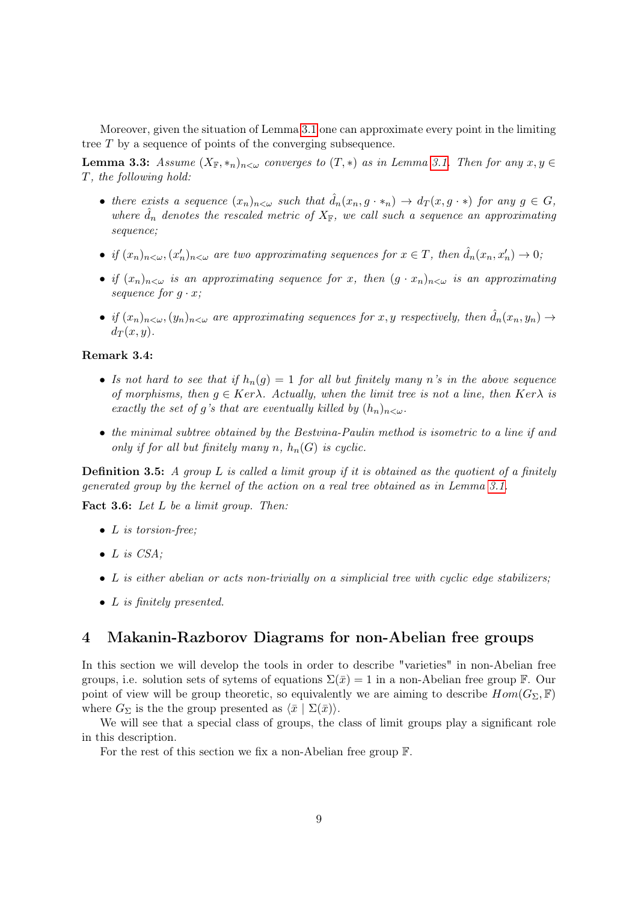Moreover, given the situation of Lemma [3.1](#page-7-0) one can approximate every point in the limiting tree T by a sequence of points of the converging subsequence.

**Lemma 3.3:** Assume  $(X_{\mathbb{F}}, *_{n})_{n<\omega}$  converges to  $(T,*)$  as in Lemma [3.1.](#page-7-0) Then for any  $x, y \in$ T, the following hold:

- there exists a sequence  $(x_n)_{n<\omega}$  such that  $\tilde{d}_n(x_n, g \cdot *_n) \to d_T(x, g \cdot *)$  for any  $g \in G$ , where  $\ddot{d}_n$  denotes the rescaled metric of  $X_{\mathbb{F}}$ , we call such a sequence an approximating sequence;
- if  $(x_n)_{n \leq \omega}$ ,  $(x'_n)_{n \leq \omega}$  are two approximating sequences for  $x \in T$ , then  $\hat{d}_n(x_n, x'_n) \to 0$ ;
- if  $(x_n)_{n\leq \omega}$  is an approximating sequence for x, then  $(g \cdot x_n)_{n\leq \omega}$  is an approximating sequence for  $g \cdot x$ ;
- if  $(x_n)_{n\leq \omega}$ ,  $(y_n)_{n\leq \omega}$  are approximating sequences for x, y respectively, then  $\hat{d}_n(x_n, y_n) \to$  $d_T(x,y)$ .

#### Remark 3.4:

- Is not hard to see that if  $h_n(g) = 1$  for all but finitely many n's in the above sequence of morphisms, then  $g \in Ker \lambda$ . Actually, when the limit tree is not a line, then  $Ker \lambda$  is exactly the set of g's that are eventually killed by  $(h_n)_{n\leq\omega}$ .
- the minimal subtree obtained by the Bestvina-Paulin method is isometric to a line if and only if for all but finitely many n,  $h_n(G)$  is cyclic.

**Definition 3.5:** A group L is called a limit group if it is obtained as the quotient of a finitely generated group by the kernel of the action on a real tree obtained as in Lemma [3.1.](#page-7-0)

Fact 3.6: Let L be a limit group. Then:

- L is torsion-free;
- $\bullet$  L is CSA:
- $\bullet$  L is either abelian or acts non-trivially on a simplicial tree with cyclic edge stabilizers;
- L is finitely presented.

### 4 Makanin-Razborov Diagrams for non-Abelian free groups

In this section we will develop the tools in order to describe "varieties" in non-Abelian free groups, i.e. solution sets of sytems of equations  $\Sigma(\bar{x}) = 1$  in a non-Abelian free group F. Our point of view will be group theoretic, so equivalently we are aiming to describe  $Hom(G_{\Sigma}, \mathbb{F})$ where  $G_{\Sigma}$  is the the group presented as  $\langle \bar{x} | \Sigma(\bar{x}) \rangle$ .

We will see that a special class of groups, the class of limit groups play a significant role in this description.

For the rest of this section we fix a non-Abelian free group F.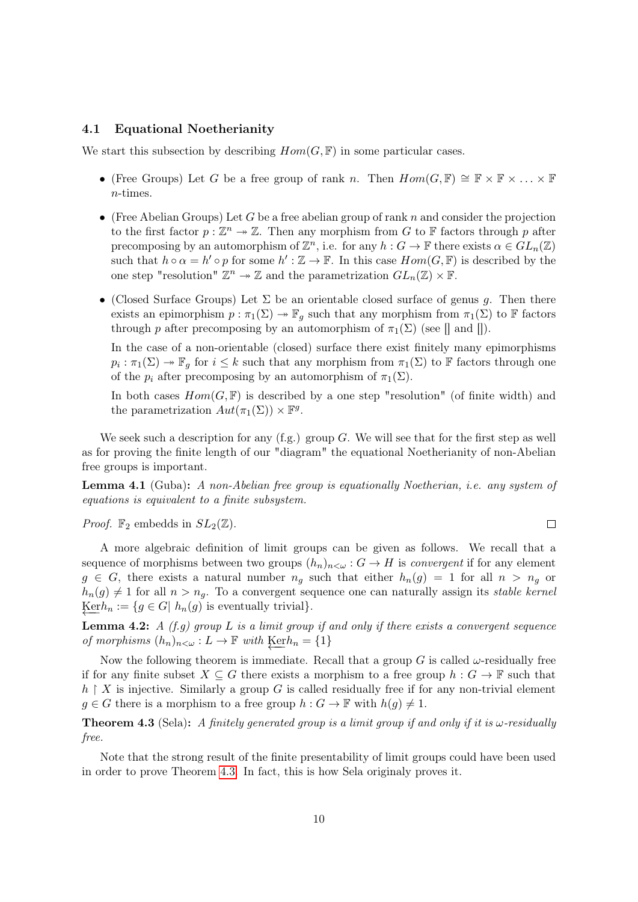#### 4.1 Equational Noetherianity

We start this subsection by describing  $Hom(G, \mathbb{F})$  in some particular cases.

- (Free Groups) Let G be a free group of rank n. Then  $Hom(G, \mathbb{F}) \cong \mathbb{F} \times \mathbb{F} \times \ldots \times \mathbb{F}$ n-times.
- (Free Abelian Groups) Let G be a free abelian group of rank n and consider the projection to the first factor  $p: \mathbb{Z}^n \to \mathbb{Z}$ . Then any morphism from G to F factors through p after precomposing by an automorphism of  $\mathbb{Z}^n$ , i.e. for any  $h: G \to \mathbb{F}$  there exists  $\alpha \in GL_n(\mathbb{Z})$ such that  $h \circ \alpha = h' \circ p$  for some  $h' : \mathbb{Z} \to \mathbb{F}$ . In this case  $Hom(G, \mathbb{F})$  is described by the one step "resolution"  $\mathbb{Z}^n \to \mathbb{Z}$  and the parametrization  $GL_n(\mathbb{Z}) \times \mathbb{F}$ .
- (Closed Surface Groups) Let  $\Sigma$  be an orientable closed surface of genus g. Then there exists an epimorphism  $p : \pi_1(\Sigma) \to \mathbb{F}_q$  such that any morphism from  $\pi_1(\Sigma)$  to F factors through p after precomposing by an automorphism of  $\pi_1(\Sigma)$  (see [] and []).

In the case of a non-orientable (closed) surface there exist finitely many epimorphisms  $p_i : \pi_1(\Sigma) \to \mathbb{F}_g$  for  $i \leq k$  such that any morphism from  $\pi_1(\Sigma)$  to  $\mathbb F$  factors through one of the  $p_i$  after precomposing by an automorphism of  $\pi_1(\Sigma)$ .

In both cases  $Hom(G, \mathbb{F})$  is described by a one step "resolution" (of finite width) and the parametrization  $Aut(\pi_1(\Sigma)) \times \mathbb{F}^g$ .

We seek such a description for any  $(f.g.)$  group G. We will see that for the first step as well as for proving the finite length of our "diagram" the equational Noetherianity of non-Abelian free groups is important.

Lemma 4.1 (Guba): A non-Abelian free group is equationally Noetherian, i.e. any system of equations is equivalent to a finite subsystem.

*Proof.*  $\mathbb{F}_2$  embedds in  $SL_2(\mathbb{Z})$ .

A more algebraic definition of limit groups can be given as follows. We recall that a sequence of morphisms between two groups  $(h_n)_{n<\omega}: G \to H$  is *convergent* if for any element  $g \in G$ , there exists a natural number  $n_q$  such that either  $h_n(g) = 1$  for all  $n > n_q$  or  $h_n(g) \neq 1$  for all  $n > n_g$ . To a convergent sequence one can naturally assign its stable kernel Ker $h_n := \{g \in G | h_n(g)$  is eventually trivial}.

**Lemma 4.2:** A (f.g) group L is a limit group if and only if there exists a convergent sequence of morphisms  $(h_n)_{n\lt\omega}: L \to \mathbb{F}$  with  $\text{Ker} h_n = \{1\}$ 

Now the following theorem is immediate. Recall that a group  $G$  is called  $\omega$ -residually free if for any finite subset  $X \subseteq G$  there exists a morphism to a free group  $h : G \to \mathbb{F}$  such that  $h \restriction X$  is injective. Similarly a group G is called residually free if for any non-trivial element  $g \in G$  there is a morphism to a free group  $h : G \to \mathbb{F}$  with  $h(g) \neq 1$ .

<span id="page-9-0"></span>**Theorem 4.3** (Sela): A finitely generated group is a limit group if and only if it is  $\omega$ -residually free.

Note that the strong result of the finite presentability of limit groups could have been used in order to prove Theorem [4.3.](#page-9-0) In fact, this is how Sela originaly proves it.

 $\Box$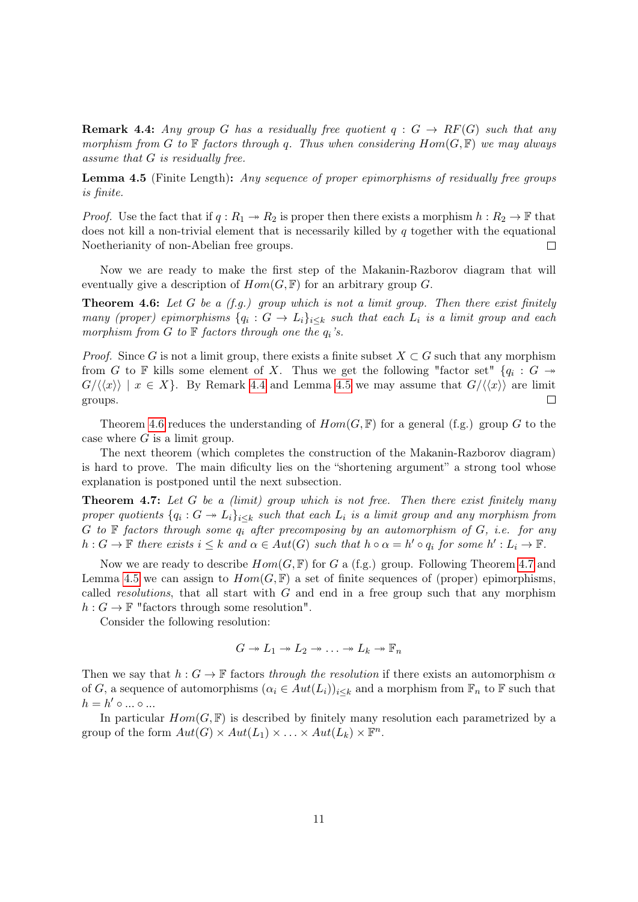<span id="page-10-0"></span>**Remark 4.4:** Any group G has a residually free quotient  $q : G \to RF(G)$  such that any morphism from G to  $\mathbb F$  factors through q. Thus when considering  $Hom(G, \mathbb F)$  we may always assume that G is residually free.

<span id="page-10-1"></span>**Lemma 4.5** (Finite Length): Any sequence of proper epimorphisms of residually free groups is finite.

*Proof.* Use the fact that if  $q : R_1 \to R_2$  is proper then there exists a morphism  $h : R_2 \to \mathbb{F}$  that does not kill a non-trivial element that is necessarily killed by  $q$  together with the equational Noetherianity of non-Abelian free groups.  $\Box$ 

Now we are ready to make the first step of the Makanin-Razborov diagram that will eventually give a description of  $Hom(G, \mathbb{F})$  for an arbitrary group G.

<span id="page-10-2"></span>**Theorem 4.6:** Let G be a  $(f,q.)$  group which is not a limit group. Then there exist finitely many (proper) epimorphisms  $\{q_i: G \to L_i\}_{i \leq k}$  such that each  $L_i$  is a limit group and each morphism from G to  $\mathbb F$  factors through one the  $q_i$ 's.

*Proof.* Since G is not a limit group, there exists a finite subset  $X \subset G$  such that any morphism from G to F kills some element of X. Thus we get the following "factor set"  $\{q_i : G \rightarrow$  $G/\langle x \rangle$  |  $x \in X$ }. By Remark [4.4](#page-10-0) and Lemma [4.5](#page-10-1) we may assume that  $G/\langle x \rangle$  are limit groups.

Theorem [4.6](#page-10-2) reduces the understanding of  $Hom(G, \mathbb{F})$  for a general (f.g.) group G to the case where  $G$  is a limit group.

The next theorem (which completes the construction of the Makanin-Razborov diagram) is hard to prove. The main dificulty lies on the "shortening argument" a strong tool whose explanation is postponed until the next subsection.

<span id="page-10-3"></span>**Theorem 4.7:** Let G be a (limit) group which is not free. Then there exist finitely many proper quotients  $\{q_i: G \to L_i\}_{i\leq k}$  such that each  $L_i$  is a limit group and any morphism from  $G$  to  $F$  factors through some  $q_i$  after precomposing by an automorphism of  $G$ , i.e. for any  $h: G \to \mathbb{F}$  there exists  $i \leq k$  and  $\alpha \in Aut(G)$  such that  $h \circ \alpha = h' \circ q_i$  for some  $h' : L_i \to \mathbb{F}$ .

Now we are ready to describe  $Hom(G, \mathbb{F})$  for G a (f.g.) group. Following Theorem [4.7](#page-10-3) and Lemma [4.5](#page-10-1) we can assign to  $Hom(G, \mathbb{F})$  a set of finite sequences of (proper) epimorphisms, called resolutions, that all start with  $G$  and end in a free group such that any morphism  $h: G \to \mathbb{F}$  "factors through some resolution".

Consider the following resolution:

$$
G \twoheadrightarrow L_1 \twoheadrightarrow L_2 \twoheadrightarrow \ldots \twoheadrightarrow L_k \twoheadrightarrow \mathbb{F}_n
$$

Then we say that  $h: G \to \mathbb{F}$  factors through the resolution if there exists an automorphism  $\alpha$ of G, a sequence of automorphisms  $(\alpha_i \in Aut(L_i))_{i \leq k}$  and a morphism from  $\mathbb{F}_n$  to  $\mathbb{F}$  such that  $h = h' \circ \dots \circ \dots$ 

In particular  $Hom(G, \mathbb{F})$  is described by finitely many resolution each parametrized by a group of the form  $Aut(G) \times Aut(L_1) \times ... \times Aut(L_k) \times \mathbb{F}^n$ .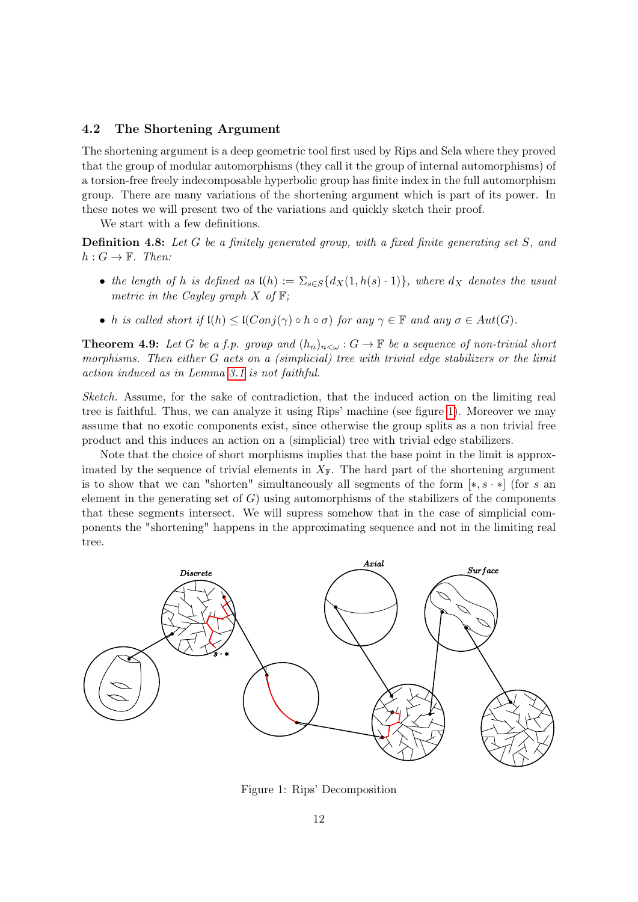#### 4.2 The Shortening Argument

The shortening argument is a deep geometric tool first used by Rips and Sela where they proved that the group of modular automorphisms (they call it the group of internal automorphisms) of a torsion-free freely indecomposable hyperbolic group has finite index in the full automorphism group. There are many variations of the shortening argument which is part of its power. In these notes we will present two of the variations and quickly sketch their proof.

We start with a few definitions.

Definition 4.8: Let G be a finitely generated group, with a fixed finite generating set S, and  $h: G \to \mathbb{F}$ . Then:

- the length of h is defined as  $\mathfrak{l}(h) := \sum_{s \in S} \{d_X(1,h(s) \cdot 1)\}\,$ , where  $d_X$  denotes the usual metric in the Cayley graph  $X$  of  $\mathbb{F}$ ;
- h is called short if  $\mathfrak{l}(h) \leq \mathfrak{l}(Conj(\gamma) \circ h \circ \sigma)$  for any  $\gamma \in \mathbb{F}$  and any  $\sigma \in Aut(G)$ .

<span id="page-11-1"></span>**Theorem 4.9:** Let G be a f.p. group and  $(h_n)_{n<\omega}: G \to \mathbb{F}$  be a sequence of non-trivial short morphisms. Then either  $G$  acts on a (simplicial) tree with trivial edge stabilizers or the limit action induced as in Lemma [3.1](#page-7-0) is not faithful.

Sketch. Assume, for the sake of contradiction, that the induced action on the limiting real tree is faithful. Thus, we can analyze it using Rips' machine (see figure [1\)](#page-11-0). Moreover we may assume that no exotic components exist, since otherwise the group splits as a non trivial free product and this induces an action on a (simplicial) tree with trivial edge stabilizers.

Note that the choice of short morphisms implies that the base point in the limit is approximated by the sequence of trivial elements in  $X_{\mathbb{F}}$ . The hard part of the shortening argument is to show that we can "shorten" simultaneously all segments of the form  $[*, s \cdot *]$  (for s an element in the generating set of  $G$ ) using automorphisms of the stabilizers of the components that these segments intersect. We will supress somehow that in the case of simplicial components the "shortening" happens in the approximating sequence and not in the limiting real tree.



<span id="page-11-0"></span>Figure 1: Rips' Decomposition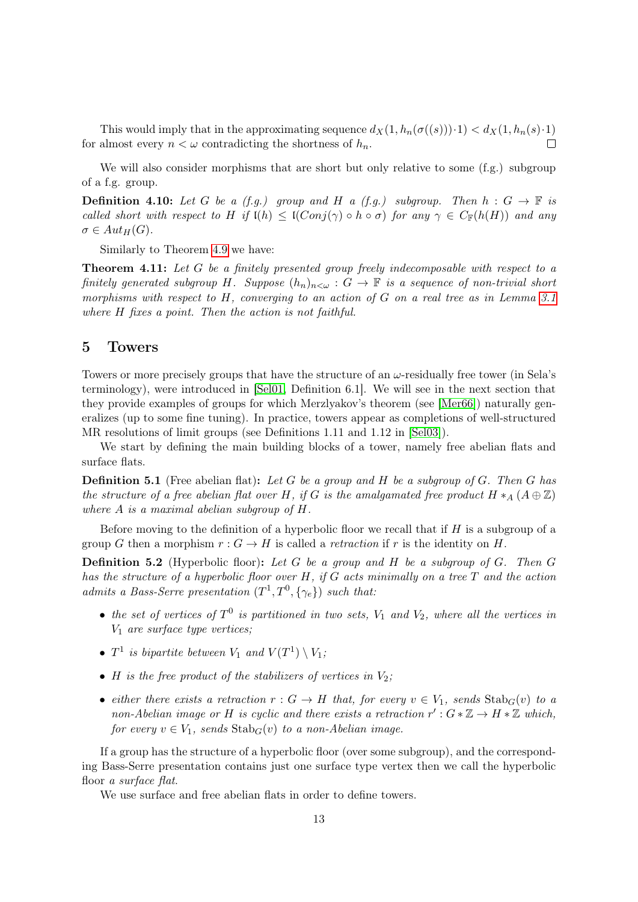This would imply that in the approximating sequence  $d_X(1, h_n(\sigma((s))) \cdot 1) < d_X(1, h_n(s) \cdot 1)$ for almost every  $n < \omega$  contradicting the shortness of  $h_n$ .  $\Box$ 

We will also consider morphisms that are short but only relative to some  $(f.g.)$  subgroup of a f.g. group.

**Definition 4.10:** Let G be a (f.g.) group and H a (f.g.) subgroup. Then  $h : G \to \mathbb{F}$  is called short with respect to H if  $\mathfrak{l}(h) \leq \mathfrak{l}(Conj(\gamma) \circ h \circ \sigma)$  for any  $\gamma \in C_{\mathbb{F}}(h(H))$  and any  $\sigma \in Aut_H(G)$ .

Similarly to Theorem [4.9](#page-11-1) we have:

<span id="page-12-0"></span>**Theorem 4.11:** Let G be a finitely presented group freely indecomposable with respect to a finitely generated subgroup H. Suppose  $(h_n)_{n<\omega}: G \to \mathbb{F}$  is a sequence of non-trivial short morphisms with respect to  $H$ , converging to an action of  $G$  on a real tree as in Lemma [3.1](#page-7-0) where H fixes a point. Then the action is not faithful.

### 5 Towers

Towers or more precisely groups that have the structure of an  $\omega$ -residually free tower (in Sela's terminology), were introduced in [\[Sel01,](#page-19-0) Definition 6.1]. We will see in the next section that they provide examples of groups for which Merzlyakov's theorem (see [\[Mer66\]](#page-19-9)) naturally generalizes (up to some fine tuning). In practice, towers appear as completions of well-structured MR resolutions of limit groups (see Definitions 1.11 and 1.12 in [\[Sel03\]](#page-19-1)).

We start by defining the main building blocks of a tower, namely free abelian flats and surface flats.

**Definition 5.1** (Free abelian flat): Let G be a group and H be a subgroup of G. Then G has the structure of a free abelian flat over H, if G is the amalgamated free product  $H *_{A} (A \oplus \mathbb{Z})$ where A is a maximal abelian subgroup of H.

Before moving to the definition of a hyperbolic floor we recall that if  $H$  is a subgroup of a group G then a morphism  $r: G \to H$  is called a *retraction* if r is the identity on H.

**Definition 5.2** (Hyperbolic floor): Let G be a group and H be a subgroup of G. Then  $G$ has the structure of a hyperbolic floor over  $H$ , if  $G$  acts minimally on a tree  $T$  and the action admits a Bass-Serre presentation  $(T^1, T^0, {\{\gamma_e\}})$  such that:

- the set of vertices of  $T^0$  is partitioned in two sets,  $V_1$  and  $V_2$ , where all the vertices in V<sup>1</sup> are surface type vertices;
- $T^1$  is bipartite between  $V_1$  and  $V(T^1) \setminus V_1$ ;
- H is the free product of the stabilizers of vertices in  $V_2$ ;
- either there exists a retraction  $r: G \to H$  that, for every  $v \in V_1$ , sends  $\text{Stab}_G(v)$  to a non-Abelian image or H is cyclic and there exists a retraction  $r': G * \mathbb{Z} \to H * \mathbb{Z}$  which, for every  $v \in V_1$ , sends  $\text{Stab}_G(v)$  to a non-Abelian image.

If a group has the structure of a hyperbolic floor (over some subgroup), and the corresponding Bass-Serre presentation contains just one surface type vertex then we call the hyperbolic floor a surface flat.

We use surface and free abelian flats in order to define towers.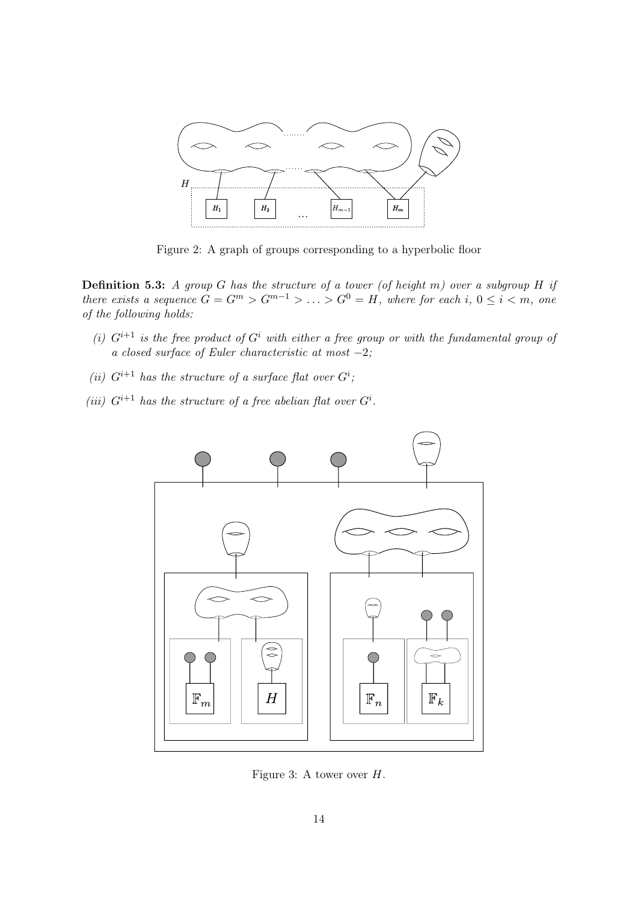

Figure 2: A graph of groups corresponding to a hyperbolic floor

**Definition 5.3:** A group G has the structure of a tower (of height m) over a subgroup H if there exists a sequence  $G = G^m > G^{m-1} > \ldots > G^0 = H$ , where for each i,  $0 \le i < m$ , one of the following holds:

- (i)  $G^{i+1}$  is the free product of  $G^i$  with either a free group or with the fundamental group of a closed surface of Euler characteristic at most  $-2$ ;
- (ii)  $G^{i+1}$  has the structure of a surface flat over  $G^i$ ;
- (iii)  $G^{i+1}$  has the structure of a free abelian flat over  $G^i$ .



Figure 3: A tower over  $H$ .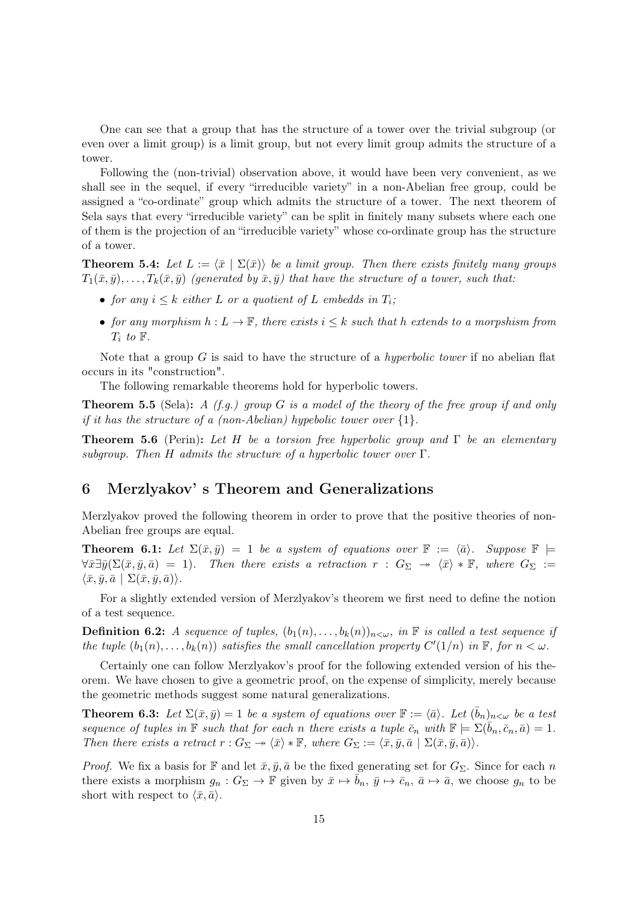One can see that a group that has the structure of a tower over the trivial subgroup (or even over a limit group) is a limit group, but not every limit group admits the structure of a tower.

Following the (non-trivial) observation above, it would have been very convenient, as we shall see in the sequel, if every "irreducible variety" in a non-Abelian free group, could be assigned a "co-ordinate" group which admits the structure of a tower. The next theorem of Sela says that every "irreducible variety" can be split in finitely many subsets where each one of them is the projection of an "irreducible variety" whose co-ordinate group has the structure of a tower.

<span id="page-14-1"></span>**Theorem 5.4:** Let  $L := \langle \bar{x} | \Sigma(\bar{x}) \rangle$  be a limit group. Then there exists finitely many groups  $T_1(\bar{x}, \bar{y}), \ldots, T_k(\bar{x}, \bar{y})$  (generated by  $\bar{x}, \bar{y}$ ) that have the structure of a tower, such that:

- for any  $i \leq k$  either L or a quotient of L embedds in  $T_i$ ;
- for any morphism  $h: L \to \mathbb{F}$ , there exists  $i \leq k$  such that h extends to a morpshism from  $T_i$  to  $\mathbb F$ .

Note that a group G is said to have the structure of a *hyperbolic tower* if no abelian flat occurs in its "construction".

The following remarkable theorems hold for hyperbolic towers.

**Theorem 5.5** (Sela): A (f.g.) group G is a model of the theory of the free group if and only if it has the structure of a (non-Abelian) hypebolic tower over  $\{1\}$ .

**Theorem 5.6** (Perin): Let H be a torsion free hyperbolic group and  $\Gamma$  be an elementary subgroup. Then H admits the structure of a hyperbolic tower over  $\Gamma$ .

### 6 Merzlyakov' s Theorem and Generalizations

Merzlyakov proved the following theorem in order to prove that the positive theories of non-Abelian free groups are equal.

**Theorem 6.1:** Let  $\Sigma(\bar{x}, \bar{y}) = 1$  be a system of equations over  $\mathbb{F} := \langle \bar{a} \rangle$ . Suppose  $\mathbb{F} \models$  $\forall \bar{x} \exists \bar{y}(\Sigma(\bar{x}, \bar{y}, \bar{a}) = 1)$ . Then there exists a retraction  $r : G_{\Sigma} \rightarrow \langle \bar{x} \rangle * \mathbb{F}$ , where  $G_{\Sigma} :=$  $\langle \bar{x}, \bar{y}, \bar{a} \mid \Sigma(\bar{x}, \bar{y}, \bar{a}) \rangle.$ 

For a slightly extended version of Merzlyakov's theorem we first need to define the notion of a test sequence.

**Definition 6.2:** A sequence of tuples,  $(b_1(n), \ldots, b_k(n))_{n \leq \omega}$ , in  $\mathbb{F}$  is called a test sequence if the tuple  $(b_1(n),...,b_k(n))$  satisfies the small cancellation property  $C'(1/n)$  in  $\mathbb{F}$ , for  $n < \omega$ .

Certainly one can follow Merzlyakov's proof for the following extended version of his theorem. We have chosen to give a geometric proof, on the expense of simplicity, merely because the geometric methods suggest some natural generalizations.

<span id="page-14-0"></span>**Theorem 6.3:** Let  $\Sigma(\bar{x}, \bar{y}) = 1$  be a system of equations over  $\mathbb{F} := \langle \bar{a} \rangle$ . Let  $(\bar{b}_n)_{n \leq \omega}$  be a test sequence of tuples in  $\mathbb F$  such that for each n there exists a tuple  $\bar{c}_n$  with  $\mathbb F \models \Sigma(b_n, \bar{c}_n, \bar{a}) = 1$ . Then there exists a retract  $r : G_{\Sigma} \to \langle \bar{x} \rangle * \mathbb{F}$ , where  $G_{\Sigma} := \langle \bar{x}, \bar{y}, \bar{a} \mid \Sigma(\bar{x}, \bar{y}, \bar{a}) \rangle$ .

*Proof.* We fix a basis for F and let  $\bar{x}, \bar{y}, \bar{a}$  be the fixed generating set for  $G_{\Sigma}$ . Since for each n there exists a morphism  $g_n: G_{\Sigma} \to \mathbb{F}$  given by  $\bar{x} \mapsto \bar{b}_n$ ,  $\bar{y} \mapsto \bar{c}_n$ ,  $\bar{a} \mapsto \bar{a}$ , we choose  $g_n$  to be short with respect to  $\langle \bar{x}, \bar{a} \rangle$ .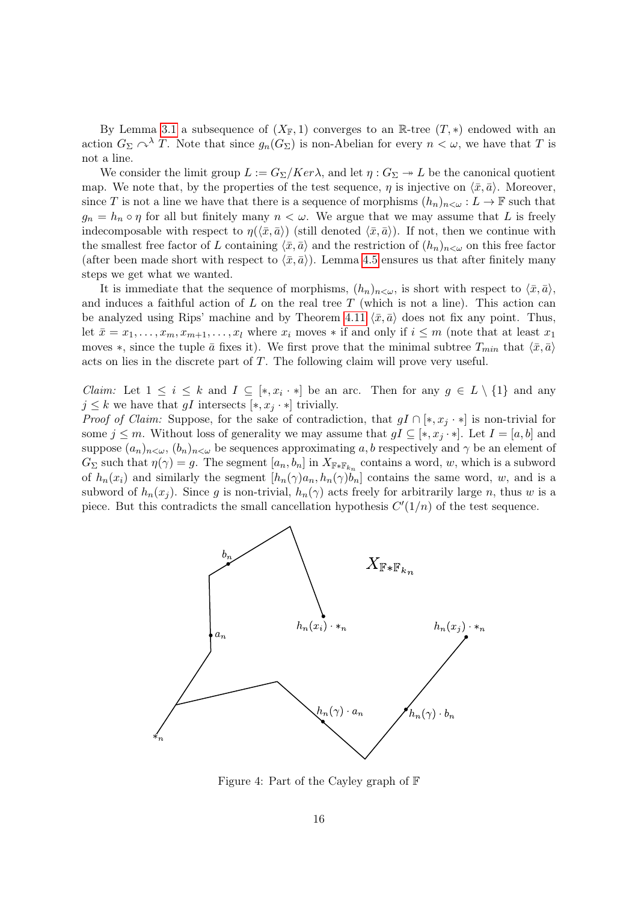By Lemma [3.1](#page-7-0) a subsequence of  $(X_F, 1)$  converges to an R-tree  $(T, *)$  endowed with an action  $G_{\Sigma} \curvearrowright^{\lambda} T$ . Note that since  $g_n(G_{\Sigma})$  is non-Abelian for every  $n < \omega$ , we have that T is not a line.

We consider the limit group  $L := G_{\Sigma}/Ker\lambda$ , and let  $\eta : G_{\Sigma} \to L$  be the canonical quotient map. We note that, by the properties of the test sequence,  $\eta$  is injective on  $\langle \bar{x}, \bar{a} \rangle$ . Moreover, since T is not a line we have that there is a sequence of morphisms  $(h_n)_{n<\omega}:L\to\mathbb{F}$  such that  $g_n = h_n \circ \eta$  for all but finitely many  $n < \omega$ . We argue that we may assume that L is freely indecomposable with respect to  $\eta(\langle \bar{x}, \bar{a} \rangle)$  (still denoted  $\langle \bar{x}, \bar{a} \rangle$ ). If not, then we continue with the smallest free factor of L containing  $\langle \bar{x}, \bar{a} \rangle$  and the restriction of  $(h_n)_{n < \omega}$  on this free factor (after been made short with respect to  $\langle \bar{x}, \bar{a} \rangle$ ). Lemma [4.5](#page-10-1) ensures us that after finitely many steps we get what we wanted.

It is immediate that the sequence of morphisms,  $(h_n)_{n<\omega}$ , is short with respect to  $\langle \bar{x}, \bar{a} \rangle$ , and induces a faithful action of  $L$  on the real tree  $T$  (which is not a line). This action can be analyzed using Rips' machine and by Theorem [4.11](#page-12-0)  $\langle \bar{x}, \bar{a} \rangle$  does not fix any point. Thus, let  $\bar{x} = x_1, \ldots, x_m, x_{m+1}, \ldots, x_l$  where  $x_i$  moves  $*$  if and only if  $i \leq m$  (note that at least  $x_1$ ) moves  $\ast$ , since the tuple  $\bar{a}$  fixes it). We first prove that the minimal subtree  $T_{min}$  that  $\langle \bar{x}, \bar{a} \rangle$ acts on lies in the discrete part of T. The following claim will prove very useful.

*Claim:* Let  $1 \leq i \leq k$  and  $I \subseteq [*, x_i \cdot *]$  be an arc. Then for any  $g \in L \setminus \{1\}$  and any  $j \leq k$  we have that gI intersects  $[*, x_i \cdot *]$  trivially.

*Proof of Claim:* Suppose, for the sake of contradiction, that  $gI \cap [*,x_i \cdot *]$  is non-trivial for some  $j \leq m$ . Without loss of generality we may assume that  $gI \subseteq [*, x_j \cdot *]$ . Let  $I = [a, b]$  and suppose  $(a_n)_{n\leq \omega}$ ,  $(b_n)_{n\leq \omega}$  be sequences approximating a, b respectively and  $\gamma$  be an element of  $G_{\Sigma}$  such that  $\eta(\gamma) = g$ . The segment  $[a_n, b_n]$  in  $X_{\mathbb{F}\ast\mathbb{F}_{k_n}}$  contains a word, w, which is a subword of  $h_n(x_i)$  and similarly the segment  $[h_n(\gamma)a_n, h_n(\gamma)b_n]$  contains the same word, w, and is a subword of  $h_n(x_j)$ . Since g is non-trivial,  $h_n(\gamma)$  acts freely for arbitrarily large n, thus w is a piece. But this contradicts the small cancellation hypothesis  $C'(1/n)$  of the test sequence.



Figure 4: Part of the Cayley graph of F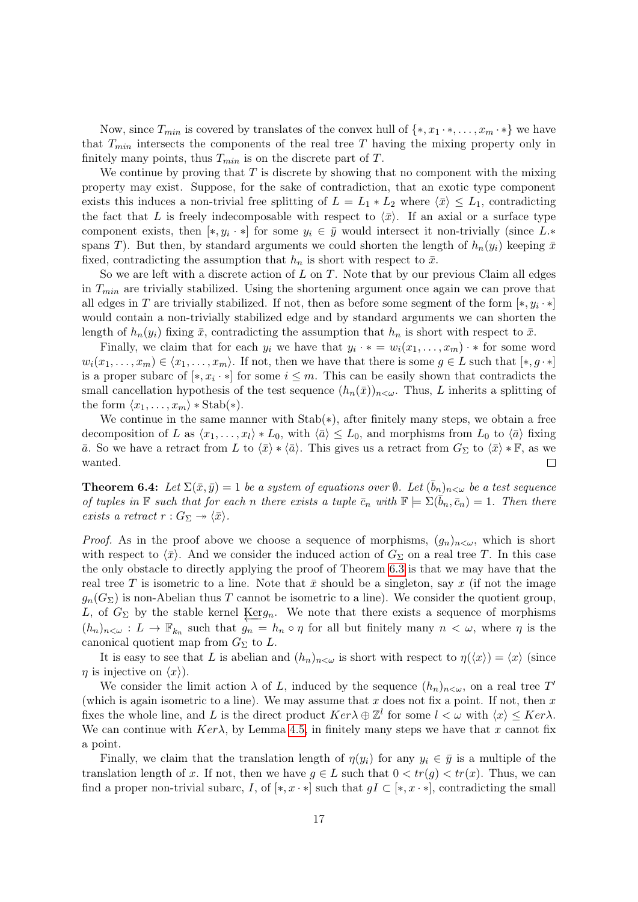Now, since  $T_{min}$  is covered by translates of the convex hull of  $\{*, x_1, \dots, x_m, *\}$  we have that  $T_{min}$  intersects the components of the real tree T having the mixing property only in finitely many points, thus  $T_{min}$  is on the discrete part of  $T$ .

We continue by proving that  $T$  is discrete by showing that no component with the mixing property may exist. Suppose, for the sake of contradiction, that an exotic type component exists this induces a non-trivial free splitting of  $L = L_1 * L_2$  where  $\langle \bar{x} \rangle \leq L_1$ , contradicting the fact that L is freely indecomposable with respect to  $\langle \bar{x} \rangle$ . If an axial or a surface type component exists, then  $[*, y_i \cdot *]$  for some  $y_i \in \bar{y}$  would intersect it non-trivially (since L.\* spans T). But then, by standard arguments we could shorten the length of  $h_n(y_i)$  keeping  $\bar{x}$ fixed, contradicting the assumption that  $h_n$  is short with respect to  $\bar{x}$ .

So we are left with a discrete action of  $L$  on  $T$ . Note that by our previous Claim all edges in  $T_{min}$  are trivially stabilized. Using the shortening argument once again we can prove that all edges in T are trivially stabilized. If not, then as before some segment of the form  $[*, y_i \cdot *]$ would contain a non-trivially stabilized edge and by standard arguments we can shorten the length of  $h_n(y_i)$  fixing  $\bar{x}$ , contradicting the assumption that  $h_n$  is short with respect to  $\bar{x}$ .

Finally, we claim that for each  $y_i$  we have that  $y_i \cdot * = w_i(x_1, \ldots, x_m) \cdot *$  for some word  $w_i(x_1, \ldots, x_m) \in \langle x_1, \ldots, x_m \rangle$ . If not, then we have that there is some  $g \in L$  such that  $[*, g \cdot *]$ is a proper subarc of  $[* , x_i \cdot *]$  for some  $i \leq m$ . This can be easily shown that contradicts the small cancellation hypothesis of the test sequence  $(h_n(\bar{x}))_{n\leq \omega}$ . Thus, L inherits a splitting of the form  $\langle x_1, \ldots, x_m \rangle * \text{Stab}(*)$ .

We continue in the same manner with Stab(∗), after finitely many steps, we obtain a free decomposition of L as  $\langle x_1, \ldots, x_l \rangle * L_0$ , with  $\langle \bar{a} \rangle \leq L_0$ , and morphisms from  $L_0$  to  $\langle \bar{a} \rangle$  fixing  $\bar{a}$ . So we have a retract from L to  $\langle \bar{x} \rangle * \langle \bar{a} \rangle$ . This gives us a retract from  $G_{\Sigma}$  to  $\langle \bar{x} \rangle * \mathbb{F}$ , as we wanted.  $\Box$ 

**Theorem 6.4:** Let  $\Sigma(\bar{x}, \bar{y}) = 1$  be a system of equations over  $\emptyset$ . Let  $(\bar{b}_n)_{n < \omega}$  be a test sequence of tuples in  $\mathbb F$  such that for each n there exists a tuple  $\bar{c}_n$  with  $\mathbb F \models \Sigma(b_n, \bar{c}_n) = 1$ . Then there exists a retract  $r: G_{\Sigma} \rightarrow \langle \bar{x} \rangle$ .

*Proof.* As in the proof above we choose a sequence of morphisms,  $(g_n)_{n<\omega}$ , which is short with respect to  $\langle \bar{x} \rangle$ . And we consider the induced action of  $G_{\Sigma}$  on a real tree T. In this case the only obstacle to directly applying the proof of Theorem [6.3](#page-14-0) is that we may have that the real tree T is isometric to a line. Note that  $\bar{x}$  should be a singleton, say x (if not the image  $g_n(G_\Sigma)$  is non-Abelian thus T cannot be isometric to a line). We consider the quotient group, L, of  $G_{\Sigma}$  by the stable kernel  $\underline{\text{Ker}}g_n$ . We note that there exists a sequence of morphisms  $(h_n)_{n\leq \omega}: L \to \mathbb{F}_{k_n}$  such that  $g_n = h_n \circ \eta$  for all but finitely many  $n < \omega$ , where  $\eta$  is the canonical quotient map from  $G_{\Sigma}$  to L.

It is easy to see that L is abelian and  $(h_n)_{n<\omega}$  is short with respect to  $\eta(\langle x \rangle) = \langle x \rangle$  (since  $\eta$  is injective on  $\langle x \rangle$ ).

We consider the limit action  $\lambda$  of L, induced by the sequence  $(h_n)_{n<\omega}$ , on a real tree T' (which is again isometric to a line). We may assume that x does not fix a point. If not, then x fixes the whole line, and L is the direct product  $Ker\lambda \oplus \mathbb{Z}^l$  for some  $l < \omega$  with  $\langle x \rangle \leq Ker\lambda$ . We can continue with  $Ker\lambda$ , by Lemma [4.5,](#page-10-1) in finitely many steps we have that x cannot fix a point.

Finally, we claim that the translation length of  $\eta(y_i)$  for any  $y_i \in \bar{y}$  is a multiple of the translation length of x. If not, then we have  $g \in L$  such that  $0 < tr(g) < tr(x)$ . Thus, we can find a proper non-trivial subarc, I, of  $[*, x \cdot *]$  such that  $gI \subset [*, x \cdot *]$ , contradicting the small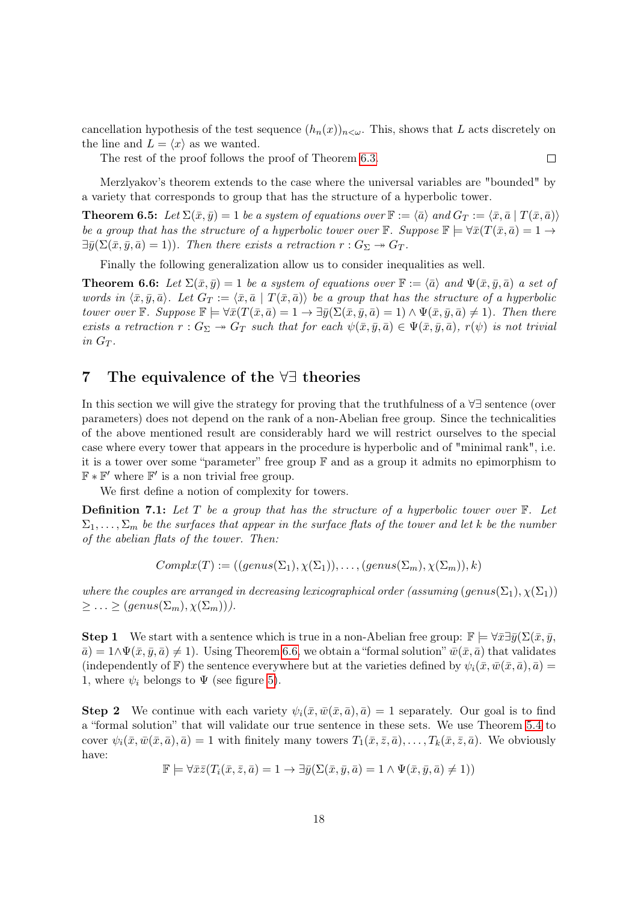cancellation hypothesis of the test sequence  $(h_n(x))_{n\leq \omega}$ . This, shows that L acts discretely on the line and  $L = \langle x \rangle$  as we wanted.

The rest of the proof follows the proof of Theorem [6.3.](#page-14-0)

 $\Box$ 

Merzlyakov's theorem extends to the case where the universal variables are "bounded" by a variety that corresponds to group that has the structure of a hyperbolic tower.

**Theorem 6.5:** Let  $\Sigma(\bar{x}, \bar{y}) = 1$  be a system of equations over  $\mathbb{F} := \langle \bar{a} \rangle$  and  $G_T := \langle \bar{x}, \bar{a} \mid T(\bar{x}, \bar{a}) \rangle$ be a group that has the structure of a hyperbolic tower over  $\mathbb{F}$ . Suppose  $\mathbb{F} \models \forall \bar{x}(T(\bar{x}, \bar{a}) = 1 \rightarrow \bar{a})$  $\exists \bar{y}(\Sigma(\bar{x}, \bar{y}, \bar{a}) = 1)).$  Then there exists a retraction  $r : G_{\Sigma} \to G_T$ .

Finally the following generalization allow us to consider inequalities as well.

<span id="page-17-0"></span>**Theorem 6.6:** Let  $\Sigma(\bar{x}, \bar{y}) = 1$  be a system of equations over  $\mathbb{F} := \langle \bar{a} \rangle$  and  $\Psi(\bar{x}, \bar{y}, \bar{a})$  a set of words in  $\langle \bar{x}, \bar{y}, \bar{a} \rangle$ . Let  $G_T := \langle \bar{x}, \bar{a} \mid T(\bar{x}, \bar{a}) \rangle$  be a group that has the structure of a hyperbolic tower over F. Suppose  $\mathbb{F} \models \forall \bar{x}(T(\bar{x}, \bar{a}) = 1 \rightarrow \exists \bar{y}(\Sigma(\bar{x}, \bar{y}, \bar{a}) = 1) \wedge \Psi(\bar{x}, \bar{y}, \bar{a}) \neq 1)$ . Then there exists a retraction  $r : G_{\Sigma} \to G_T$  such that for each  $\psi(\bar{x}, \bar{y}, \bar{a}) \in \Psi(\bar{x}, \bar{y}, \bar{a})$ ,  $r(\psi)$  is not trivial in  $G_T$ .

# 7 The equivalence of the ∀∃ theories

In this section we will give the strategy for proving that the truthfulness of a ∀∃ sentence (over parameters) does not depend on the rank of a non-Abelian free group. Since the technicalities of the above mentioned result are considerably hard we will restrict ourselves to the special case where every tower that appears in the procedure is hyperbolic and of "minimal rank", i.e. it is a tower over some "parameter" free group F and as a group it admits no epimorphism to  $\mathbb{F} * \mathbb{F}'$  where  $\mathbb{F}'$  is a non trivial free group.

We first define a notion of complexity for towers.

**Definition 7.1:** Let T be a group that has the structure of a hyperbolic tower over  $\mathbb{F}$ . Let  $\Sigma_1, \ldots, \Sigma_m$  be the surfaces that appear in the surface flats of the tower and let k be the number of the abelian flats of the tower. Then:

 $Complx(T) := ((genus(\Sigma_1), \chi(\Sigma_1)), \ldots, (genus(\Sigma_m), \chi(\Sigma_m)), k)$ 

where the couples are arranged in decreasing lexicographical order (assuming (genus( $\Sigma_1$ ),  $\chi(\Sigma_1)$ )  $\geq \ldots \geq (genus(\Sigma_m), \chi(\Sigma_m))).$ 

**Step 1** We start with a sentence which is true in a non-Abelian free group:  $\mathbb{F} \models \forall \bar{x} \exists \bar{y} (\Sigma(\bar{x}, \bar{y}))$  $\bar{a}$  = 1∧ $\Psi(\bar{x}, \bar{y}, \bar{a}) \neq 1$ . Using Theorem [6.6,](#page-17-0) we obtain a "formal solution"  $\bar{w}(\bar{x}, \bar{a})$  that validates (independently of F) the sentence everywhere but at the varieties defined by  $\psi_i(\bar{x}, \bar{w}(\bar{x}, \bar{a}), \bar{a}) =$ 1, where  $\psi_i$  belongs to  $\Psi$  (see figure [5\)](#page-18-5).

**Step 2** We continue with each variety  $\psi_i(\bar{x}, \bar{w}(\bar{x}, \bar{a}), \bar{a}) = 1$  separately. Our goal is to find a "formal solution" that will validate our true sentence in these sets. We use Theorem [5.4](#page-14-1) to cover  $\psi_i(\bar{x}, \bar{w}(\bar{x}, \bar{a}), \bar{a}) = 1$  with finitely many towers  $T_1(\bar{x}, \bar{z}, \bar{a}), \ldots, T_k(\bar{x}, \bar{z}, \bar{a})$ . We obviously have:

$$
\mathbb{F} \models \forall \bar{x}\bar{z}(T_i(\bar{x}, \bar{z}, \bar{a}) = 1 \rightarrow \exists \bar{y}(\Sigma(\bar{x}, \bar{y}, \bar{a}) = 1 \land \Psi(\bar{x}, \bar{y}, \bar{a}) \neq 1))
$$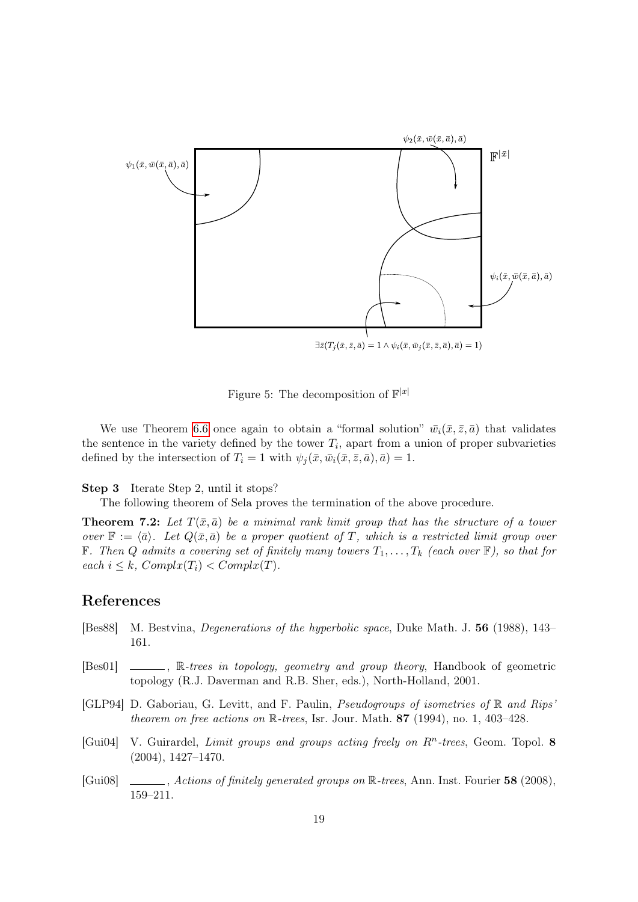

<span id="page-18-5"></span>Figure 5: The decomposition of  $\mathbb{F}^{|x|}$ 

We use Theorem [6.6](#page-17-0) once again to obtain a "formal solution"  $\bar{w}_i(\bar{x}, \bar{z}, \bar{a})$  that validates the sentence in the variety defined by the tower  $T_i$ , apart from a union of proper subvarieties defined by the intersection of  $T_i = 1$  with  $\psi_i(\bar{x}, \bar{w}_i(\bar{x}, \bar{z}, \bar{a}), \bar{a}) = 1$ .

#### Step 3 Iterate Step 2, until it stops?

The following theorem of Sela proves the termination of the above procedure.

**Theorem 7.2:** Let  $T(\bar{x}, \bar{a})$  be a minimal rank limit group that has the structure of a tower over  $\mathbb{F} := \langle \bar{a} \rangle$ . Let  $Q(\bar{x}, \bar{a})$  be a proper quotient of T, which is a restricted limit group over **F.** Then Q admits a covering set of finitely many towers  $T_1, \ldots, T_k$  (each over **F**), so that for each  $i \leq k$ ,  $Complx(T_i) < Complx(T)$ .

# References

- <span id="page-18-0"></span>[Bes88] M. Bestvina, Degenerations of the hyperbolic space, Duke Math. J. 56 (1988), 143– 161.
- <span id="page-18-1"></span>[Bes01]  $\qquad \qquad$ , R-trees in topology, geometry and group theory, Handbook of geometric topology (R.J. Daverman and R.B. Sher, eds.), North-Holland, 2001.
- <span id="page-18-4"></span>[GLP94] D. Gaboriau, G. Levitt, and F. Paulin, *Pseudogroups of isometries of*  $\mathbb R$  and Rips' theorem on free actions on  $\mathbb{R}$ -trees, Isr. Jour. Math. 87 (1994), no. 1, 403-428.
- <span id="page-18-3"></span>[Gui04] V. Guirardel, Limit groups and groups acting freely on  $R<sup>n</sup>$ -trees, Geom. Topol. 8 (2004), 1427–1470.
- <span id="page-18-2"></span>[Gui08] , Actions of finitely generated groups on  $\mathbb{R}$ -trees, Ann. Inst. Fourier 58 (2008), 159–211.